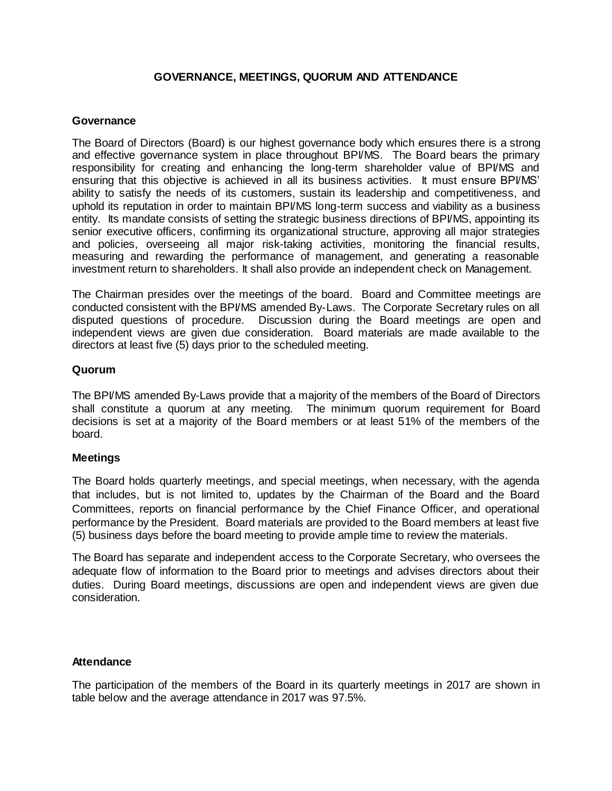# **GOVERNANCE, MEETINGS, QUORUM AND ATTENDANCE**

#### **Governance**

The Board of Directors (Board) is our highest governance body which ensures there is a strong and effective governance system in place throughout BPI/MS. The Board bears the primary responsibility for creating and enhancing the long-term shareholder value of BPI/MS and ensuring that this objective is achieved in all its business activities. It must ensure BPI/MS' ability to satisfy the needs of its customers, sustain its leadership and competitiveness, and uphold its reputation in order to maintain BPI/MS long-term success and viability as a business entity. Its mandate consists of setting the strategic business directions of BPI/MS, appointing its senior executive officers, confirming its organizational structure, approving all major strategies and policies, overseeing all major risk-taking activities, monitoring the financial results, measuring and rewarding the performance of management, and generating a reasonable investment return to shareholders. It shall also provide an independent check on Management.

The Chairman presides over the meetings of the board. Board and Committee meetings are conducted consistent with the BPI/MS amended By-Laws. The Corporate Secretary rules on all disputed questions of procedure. Discussion during the Board meetings are open and independent views are given due consideration. Board materials are made available to the directors at least five (5) days prior to the scheduled meeting.

### **Quorum**

The BPI/MS amended By-Laws provide that a majority of the members of the Board of Directors shall constitute a quorum at any meeting. The minimum quorum requirement for Board decisions is set at a majority of the Board members or at least 51% of the members of the board.

### **Meetings**

The Board holds quarterly meetings, and special meetings, when necessary, with the agenda that includes, but is not limited to, updates by the Chairman of the Board and the Board Committees, reports on financial performance by the Chief Finance Officer, and operational performance by the President. Board materials are provided to the Board members at least five (5) business days before the board meeting to provide ample time to review the materials.

The Board has separate and independent access to the Corporate Secretary, who oversees the adequate flow of information to the Board prior to meetings and advises directors about their duties. During Board meetings, discussions are open and independent views are given due consideration.

### **Attendance**

The participation of the members of the Board in its quarterly meetings in 2017 are shown in table below and the average attendance in 2017 was 97.5%.